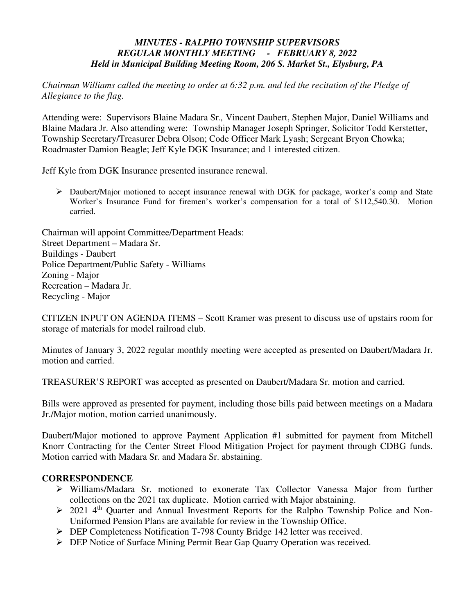## *MINUTES - RALPHO TOWNSHIP SUPERVISORS REGULAR MONTHLY MEETING - FEBRUARY 8, 2022 Held in Municipal Building Meeting Room, 206 S. Market St., Elysburg, PA*

*Chairman Williams called the meeting to order at 6:32 p.m. and led the recitation of the Pledge of Allegiance to the flag.* 

Attending were: Supervisors Blaine Madara Sr.*,* Vincent Daubert, Stephen Major, Daniel Williams and Blaine Madara Jr. Also attending were: Township Manager Joseph Springer, Solicitor Todd Kerstetter, Township Secretary/Treasurer Debra Olson; Code Officer Mark Lyash; Sergeant Bryon Chowka; Roadmaster Damion Beagle; Jeff Kyle DGK Insurance; and 1 interested citizen.

Jeff Kyle from DGK Insurance presented insurance renewal.

 Daubert/Major motioned to accept insurance renewal with DGK for package, worker's comp and State Worker's Insurance Fund for firemen's worker's compensation for a total of \$112,540.30. Motion carried.

Chairman will appoint Committee/Department Heads: Street Department – Madara Sr. Buildings - Daubert Police Department/Public Safety - Williams Zoning - Major Recreation – Madara Jr. Recycling - Major

CITIZEN INPUT ON AGENDA ITEMS – Scott Kramer was present to discuss use of upstairs room for storage of materials for model railroad club.

Minutes of January 3, 2022 regular monthly meeting were accepted as presented on Daubert/Madara Jr. motion and carried.

TREASURER'S REPORT was accepted as presented on Daubert/Madara Sr. motion and carried.

Bills were approved as presented for payment, including those bills paid between meetings on a Madara Jr./Major motion, motion carried unanimously.

Daubert/Major motioned to approve Payment Application #1 submitted for payment from Mitchell Knorr Contracting for the Center Street Flood Mitigation Project for payment through CDBG funds. Motion carried with Madara Sr. and Madara Sr. abstaining.

## **CORRESPONDENCE**

- Williams/Madara Sr. motioned to exonerate Tax Collector Vanessa Major from further collections on the 2021 tax duplicate. Motion carried with Major abstaining.
- $\geq$  2021 4<sup>th</sup> Quarter and Annual Investment Reports for the Ralpho Township Police and Non-Uniformed Pension Plans are available for review in the Township Office.
- DEP Completeness Notification T-798 County Bridge 142 letter was received.
- DEP Notice of Surface Mining Permit Bear Gap Quarry Operation was received.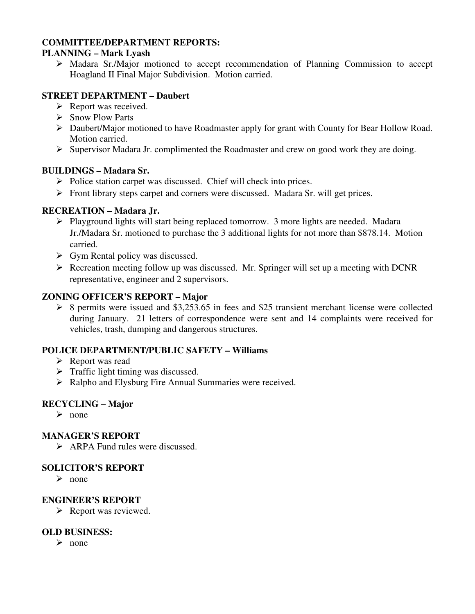### **COMMITTEE/DEPARTMENT REPORTS:**

## **PLANNING – Mark Lyash**

 Madara Sr./Major motioned to accept recommendation of Planning Commission to accept Hoagland II Final Major Subdivision. Motion carried.

## **STREET DEPARTMENT – Daubert**

- $\triangleright$  Report was received.
- $\triangleright$  Snow Plow Parts
- Daubert/Major motioned to have Roadmaster apply for grant with County for Bear Hollow Road. Motion carried.
- $\triangleright$  Supervisor Madara Jr. complimented the Roadmaster and crew on good work they are doing.

### **BUILDINGS – Madara Sr.**

- $\triangleright$  Police station carpet was discussed. Chief will check into prices.
- $\triangleright$  Front library steps carpet and corners were discussed. Madara Sr. will get prices.

## **RECREATION – Madara Jr.**

- $\triangleright$  Playground lights will start being replaced tomorrow. 3 more lights are needed. Madara Jr./Madara Sr. motioned to purchase the 3 additional lights for not more than \$878.14. Motion carried.
- $\triangleright$  Gym Rental policy was discussed.
- $\triangleright$  Recreation meeting follow up was discussed. Mr. Springer will set up a meeting with DCNR representative, engineer and 2 supervisors.

### **ZONING OFFICER'S REPORT – Major**

 $\geq$  8 permits were issued and \$3,253.65 in fees and \$25 transient merchant license were collected during January. 21 letters of correspondence were sent and 14 complaints were received for vehicles, trash, dumping and dangerous structures.

## **POLICE DEPARTMENT/PUBLIC SAFETY – Williams**

- $\triangleright$  Report was read
- $\triangleright$  Traffic light timing was discussed.
- > Ralpho and Elysburg Fire Annual Summaries were received.

# **RECYCLING – Major**

 $\triangleright$  none

### **MANAGER'S REPORT**

 $\triangleright$  ARPA Fund rules were discussed.

### **SOLICITOR'S REPORT**

 $\triangleright$  none

### **ENGINEER'S REPORT**

 $\triangleright$  Report was reviewed.

### **OLD BUSINESS:**

 $\triangleright$  none